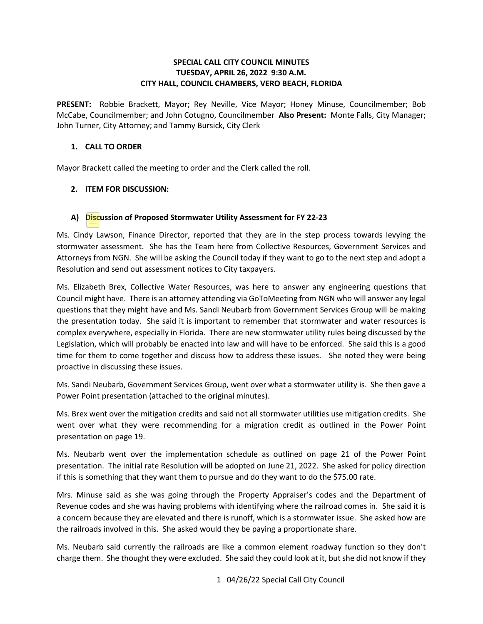## **SPECIAL CALL CITY COUNCIL MINUTES TUESDAY, APRIL 26, 2022 9:30 A.M. CITY HALL, COUNCIL CHAMBERS, VERO BEACH, FLORIDA**

 **PRESENT:** Robbie Brackett, Mayor; Rey Neville, Vice Mayor; Honey Minuse, Councilmember; Bob McCabe, Councilmember; and John Cotugno, Councilmember **Also Present:** Monte Falls, City Manager; John Turner, City Attorney; and Tammy Bursick, City Clerk

## **1. CALL TO ORDER**

Mayor Brackett called the meeting to order and the Clerk called the roll.

# **2. ITEM FOR DISCUSSION:**

# **A) Discussion of Proposed Stormwater Utility Assessment for FY 22-23**

Ms. Cindy Lawson, Finance Director, reported that they are in the step process towards levying the stormwater assessment. She has the Team here from Collective Resources, Government Services and Attorneys from NGN. She will be asking the Council today if they want to go to the next step and adopt a Resolution and send out assessment notices to City taxpayers.

Ms. Elizabeth Brex, Collective Water Resources, was here to answer any engineering questions that Council might have. There is an attorney attending via GoToMeeting from NGN who will answer any legal questions that they might have and Ms. Sandi Neubarb from Government Services Group will be making the presentation today. She said it is important to remember that stormwater and water resources is complex everywhere, especially in Florida. There are new stormwater utility rules being discussed by the Legislation, which will probably be enacted into law and will have to be enforced. She said this is a good time for them to come together and discuss how to address these issues. She noted they were being proactive in discussing these issues.

Ms. Sandi Neubarb, Government Services Group, went over what a stormwater utility is. She then gave a Power Point presentation (attached to the original minutes).

Ms. Brex went over the mitigation credits and said not all stormwater utilities use mitigation credits. She went over what they were recommending for a migration credit as outlined in the Power Point presentation on page 19.

Ms. Neubarb went over the implementation schedule as outlined on page 21 of the Power Point presentation. The initial rate Resolution will be adopted on June 21, 2022. She asked for policy direction if this is something that they want them to pursue and do they want to do the \$75.00 rate.

Mrs. Minuse said as she was going through the Property Appraiser's codes and the Department of Revenue codes and she was having problems with identifying where the railroad comes in. She said it is a concern because they are elevated and there is runoff, which is a stormwater issue. She asked how are the railroads involved in this. She asked would they be paying a proportionate share.

Ms. Neubarb said currently the railroads are like a common element roadway function so they don't charge them. She thought they were excluded. She said they could look at it, but she did not know if they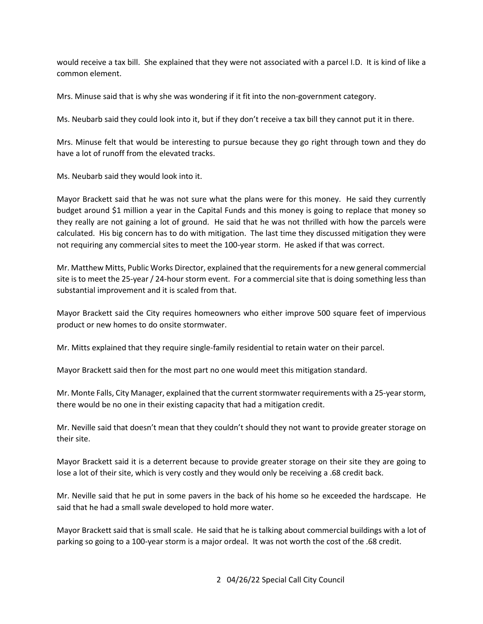would receive a tax bill. She explained that they were not associated with a parcel I.D. It is kind of like a common element.

Mrs. Minuse said that is why she was wondering if it fit into the non-government category.

Ms. Neubarb said they could look into it, but if they don't receive a tax bill they cannot put it in there.

Mrs. Minuse felt that would be interesting to pursue because they go right through town and they do have a lot of runoff from the elevated tracks.

Ms. Neubarb said they would look into it.

 Mayor Brackett said that he was not sure what the plans were for this money. He said they currently budget around \$1 million a year in the Capital Funds and this money is going to replace that money so they really are not gaining a lot of ground. He said that he was not thrilled with how the parcels were calculated. His big concern has to do with mitigation. The last time they discussed mitigation they were not requiring any commercial sites to meet the 100-year storm. He asked if that was correct.

 site is to meet the 25-year / 24-hour storm event. For a commercial site that is doing something less than substantial improvement and it is scaled from that. Mr. Matthew Mitts, Public Works Director, explained that the requirements for a new general commercial

 product or new homes to do onsite stormwater. Mayor Brackett said the City requires homeowners who either improve 500 square feet of impervious

Mr. Mitts explained that they require single-family residential to retain water on their parcel.

Mayor Brackett said then for the most part no one would meet this mitigation standard.

Mr. Monte Falls, City Manager, explained that the current stormwater requirements with a 25-year storm, there would be no one in their existing capacity that had a mitigation credit.

 Mr. Neville said that doesn't mean that they couldn't should they not want to provide greater storage on their site.

 lose a lot of their site, which is very costly and they would only be receiving a .68 credit back. Mayor Brackett said it is a deterrent because to provide greater storage on their site they are going to

 Mr. Neville said that he put in some pavers in the back of his home so he exceeded the hardscape. He said that he had a small swale developed to hold more water.

said that he had a small swale developed to hold more water.<br>Mayor Brackett said that is small scale. He said that he is talking about commercial buildings with a lot of parking so going to a 100-year storm is a major ordeal. It was not worth the cost of the .68 credit.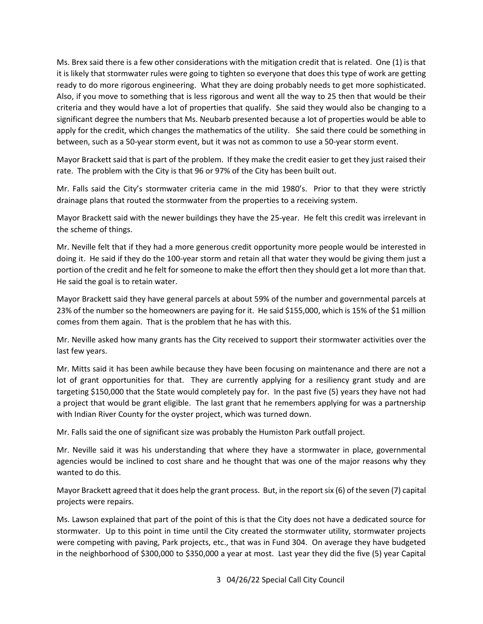Ms. Brex said there is a few other considerations with the mitigation credit that is related. One (1) is that it is likely that stormwater rules were going to tighten so everyone that does this type of work are getting ready to do more rigorous engineering. What they are doing probably needs to get more sophisticated. ready to do more rigorous engineering. What they are doing probably needs to get more sophisticated.<br>Also, if you move to something that is less rigorous and went all the way to 25 then that would be their criteria and they would have a lot of properties that qualify. She said they would also be changing to a significant degree the numbers that Ms. Neubarb presented because a lot of properties would be able to apply for the credit, which changes the mathematics of the utility. She said there could be something in between, such as a 50-year storm event, but it was not as common to use a 50-year storm event.

 Mayor Brackett said that is part of the problem. If they make the credit easier to get they just raised their rate. The problem with the City is that 96 or 97% of the City has been built out.

 Mr. Falls said the City's stormwater criteria came in the mid 1980's. Prior to that they were strictly drainage plans that routed the stormwater from the properties to a receiving system.

the scheme of things. Mayor Brackett said with the newer buildings they have the 25-year. He felt this credit was irrelevant in

 doing it. He said if they do the 100-year storm and retain all that water they would be giving them just a portion of the credit and he felt for someone to make the effort then they should get a lot more than that. Mr. Neville felt that if they had a more generous credit opportunity more people would be interested in He said the goal is to retain water.

 23% of the number so the homeowners are paying for it. He said \$155,000, which is 15% of the \$1 million comes from them again. That is the problem that he has with this. Mayor Brackett said they have general parcels at about 59% of the number and governmental parcels at

 Mr. Neville asked how many grants has the City received to support their stormwater activities over the last few years.

last few years.<br>Mr. Mitts said it has been awhile because they have been focusing on maintenance and there are not a lot of grant opportunities for that. They are currently applying for a resiliency grant study and are with Indian River County for the oyster project, which was turned down. targeting \$150,000 that the State would completely pay for. In the past five (5) years they have not had a project that would be grant eligible. The last grant that he remembers applying for was a partnership

Mr. Falls said the one of significant size was probably the Humiston Park outfall project.

 agencies would be inclined to cost share and he thought that was one of the major reasons why they wanted to do this. Mr. Neville said it was his understanding that where they have a stormwater in place, governmental

wanted to do this.<br>Mayor Brackett agreed that it does help the grant process. But, in the report six (6) of the seven (7) capital projects were repairs.

 Ms. Lawson explained that part of the point of this is that the City does not have a dedicated source for stormwater. Up to this point in time until the City created the stormwater utility, stormwater projects in the neighborhood of \$300,000 to \$350,000 a year at most. Last year they did the five (5) year Capital were competing with paving, Park projects, etc., that was in Fund 304. On average they have budgeted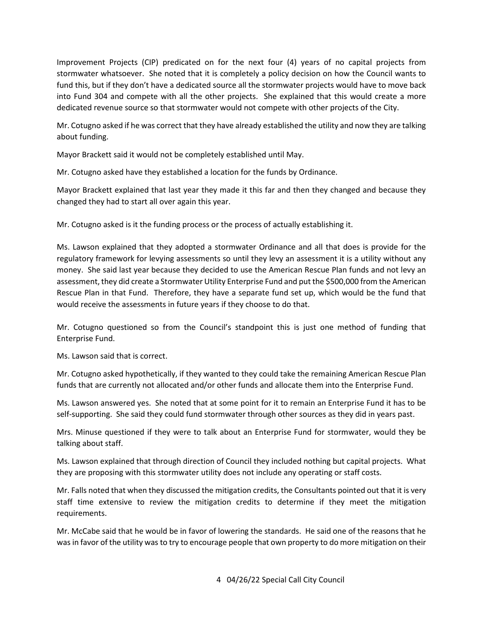Improvement Projects (CIP) predicated on for the next four (4) years of no capital projects from stormwater whatsoever. She noted that it is completely a policy decision on how the Council wants to fund this, but if they don't have a dedicated source all the stormwater projects would have to move back dedicated revenue source so that stormwater would not compete with other projects of the City. into Fund 304 and compete with all the other projects. She explained that this would create a more

 Mr. Cotugno asked if he was correct that they have already established the utility and now they are talking about funding.

Mayor Brackett said it would not be completely established until May.

Mr. Cotugno asked have they established a location for the funds by Ordinance.

 Mayor Brackett explained that last year they made it this far and then they changed and because they changed they had to start all over again this year.

Mr. Cotugno asked is it the funding process or the process of actually establishing it.

 Ms. Lawson explained that they adopted a stormwater Ordinance and all that does is provide for the money. She said last year because they decided to use the American Rescue Plan funds and not levy an would receive the assessments in future years if they choose to do that. regulatory framework for levying assessments so until they levy an assessment it is a utility without any assessment, they did create a Stormwater Utility Enterprise Fund and put the \$500,000 from the American Rescue Plan in that Fund. Therefore, they have a separate fund set up, which would be the fund that

 Mr. Cotugno questioned so from the Council's standpoint this is just one method of funding that Enterprise Fund.

Ms. Lawson said that is correct.

Mr. Cotugno asked hypothetically, if they wanted to they could take the remaining American Rescue Plan funds that are currently not allocated and/or other funds and allocate them into the Enterprise Fund.

 Ms. Lawson answered yes. She noted that at some point for it to remain an Enterprise Fund it has to be self-supporting. She said they could fund stormwater through other sources as they did in years past.

Mrs. Minuse questioned if they were to talk about an Enterprise Fund for stormwater, would they be talking about staff.

 Ms. Lawson explained that through direction of Council they included nothing but capital projects. What they are proposing with this stormwater utility does not include any operating or staff costs.

 Mr. Falls noted that when they discussed the mitigation credits, the Consultants pointed out that it is very requirements. staff time extensive to review the mitigation credits to determine if they meet the mitigation

requirements.<br>Mr. McCabe said that he would be in favor of lowering the standards. He said one of the reasons that he was in favor of the utility was to try to encourage people that own property to do more mitigation on their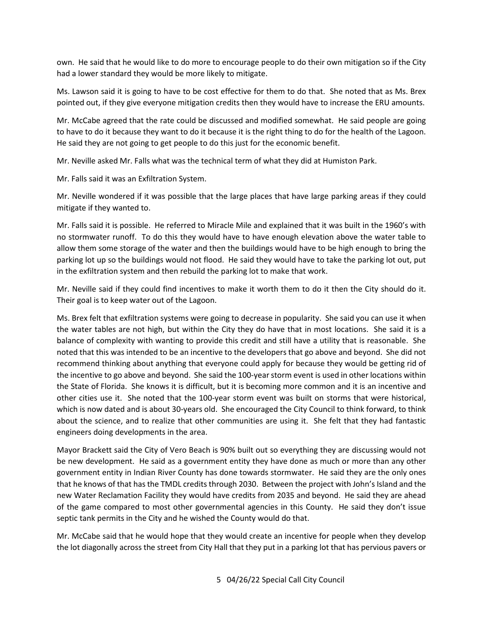own. He said that he would like to do more to encourage people to do their own mitigation so if the City had a lower standard they would be more likely to mitigate.

 Ms. Lawson said it is going to have to be cost effective for them to do that. She noted that as Ms. Brex pointed out, if they give everyone mitigation credits then they would have to increase the ERU amounts.

to have to do it because they want to do it because it is the right thing to do for the health of the Lagoon.<br>He said they are not going to get people to do this just for the economic benefit.<br>Mr. Neville asked Mr. Falls w He said they are not going to get people to do this just for the economic benefit. Mr. McCabe agreed that the rate could be discussed and modified somewhat. He said people are going

Mr. Neville asked Mr. Falls what was the technical term of what they did at Humiston Park.

Mr. Falls said it was an Exfiltration System.

Mr. Neville wondered if it was possible that the large places that have large parking areas if they could mitigate if they wanted to.

 Mr. Falls said it is possible. He referred to Miracle Mile and explained that it was built in the 1960's with no stormwater runoff. To do this they would have to have enough elevation above the water table to parking lot up so the buildings would not flood. He said they would have to take the parking lot out, put in the exfiltration system and then rebuild the parking lot to make that work. allow them some storage of the water and then the buildings would have to be high enough to bring the

in the exfiltration system and then rebuild the parking lot to make that work.<br>Mr. Neville said if they could find incentives to make it worth them to do it then the City should do it.<br>Their goal is to keep water out of th

 balance of complexity with wanting to provide this credit and still have a utility that is reasonable. She noted that this was intended to be an incentive to the developers that go above and beyond. She did not the incentive to go above and beyond. She said the 100-year storm event is used in other locations within engineers doing developments in the area. Ms. Brex felt that exfiltration systems were going to decrease in popularity. She said you can use it when the water tables are not high, but within the City they do have that in most locations. She said it is a recommend thinking about anything that everyone could apply for because they would be getting rid of the State of Florida. She knows it is difficult, but it is becoming more common and it is an incentive and other cities use it. She noted that the 100-year storm event was built on storms that were historical, which is now dated and is about 30-years old. She encouraged the City Council to think forward, to think about the science, and to realize that other communities are using it. She felt that they had fantastic

 be new development. He said as a government entity they have done as much or more than any other that he knows of that has the TMDL credits through 2030. Between the project with John's Island and the of the game compared to most other governmental agencies in this County. He said they don't issue septic tank permits in the City and he wished the County would do that. Mayor Brackett said the City of Vero Beach is 90% built out so everything they are discussing would not government entity in Indian River County has done towards stormwater. He said they are the only ones new Water Reclamation Facility they would have credits from 2035 and beyond. He said they are ahead

 Mr. McCabe said that he would hope that they would create an incentive for people when they develop the lot diagonally across the street from City Hall that they put in a parking lot that has pervious pavers or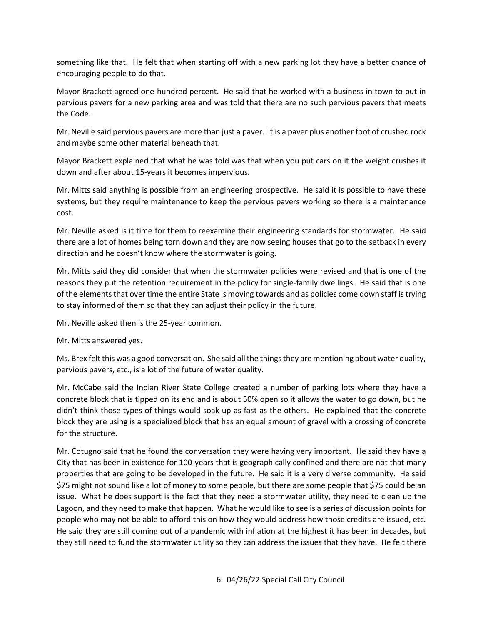something like that. He felt that when starting off with a new parking lot they have a better chance of encouraging people to do that.

 Mayor Brackett agreed one-hundred percent. He said that he worked with a business in town to put in pervious pavers for a new parking area and was told that there are no such pervious pavers that meets the Code.

 Mr. Neville said pervious pavers are more than just a paver. It is a paver plus another foot of crushed rock and maybe some other material beneath that.

and maybe some other material beneath that.<br>Mayor Brackett explained that what he was told was that when you put cars on it the weight crushes it down and after about 15-years it becomes impervious.

 systems, but they require maintenance to keep the pervious pavers working so there is a maintenance Mr. Mitts said anything is possible from an engineering prospective. He said it is possible to have these cost.

 Mr. Neville asked is it time for them to reexamine their engineering standards for stormwater. He said there are a lot of homes being torn down and they are now seeing houses that go to the setback in every direction and he doesn't know where the stormwater is going.

 reasons they put the retention requirement in the policy for single-family dwellings. He said that is one of the elements that over time the entire State is moving towards and as policies come down staff is trying to stay informed of them so that they can adjust their policy in the future. Mr. Mitts said they did consider that when the stormwater policies were revised and that is one of the

Mr. Neville asked then is the 25-year common.

Mr. Mitts answered yes.

 pervious pavers, etc., is a lot of the future of water quality. Ms. Brex felt this was a good conversation. She said all the things they are mentioning about water quality,

 Mr. McCabe said the Indian River State College created a number of parking lots where they have a didn't think those types of things would soak up as fast as the others. He explained that the concrete concrete block that is tipped on its end and is about 50% open so it allows the water to go down, but he block they are using is a specialized block that has an equal amount of gravel with a crossing of concrete for the structure.

 City that has been in existence for 100-years that is geographically confined and there are not that many \$75 might not sound like a lot of money to some people, but there are some people that \$75 could be an Lagoon, and they need to make that happen. What he would like to see is a series of discussion points for people who may not be able to afford this on how they would address how those credits are issued, etc. they still need to fund the stormwater utility so they can address the issues that they have. He felt there Mr. Cotugno said that he found the conversation they were having very important. He said they have a properties that are going to be developed in the future. He said it is a very diverse community. He said issue. What he does support is the fact that they need a stormwater utility, they need to clean up the He said they are still coming out of a pandemic with inflation at the highest it has been in decades, but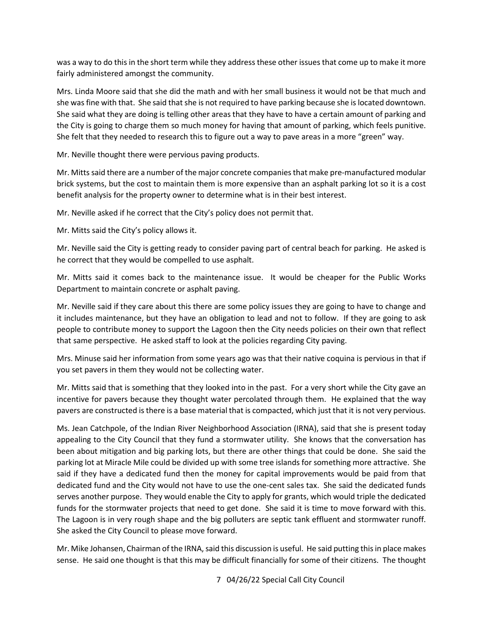was a way to do this in the short term while they address these other issues that come up to make it more fairly administered amongst the community.

 Mrs. Linda Moore said that she did the math and with her small business it would not be that much and she was fine with that. She said that she is not required to have parking because she is located downtown.<br>She said what they are doing is telling other areas that they have to have a certain amount of parking and She said what they are doing is telling other areas that they have to have a certain amount of parking and the City is going to charge them so much money for having that amount of parking, which feels punitive. She felt that they needed to research this to figure out a way to pave areas in a more "green" way.

Mr. Neville thought there were pervious paving products.

 brick systems, but the cost to maintain them is more expensive than an asphalt parking lot so it is a cost benefit analysis for the property owner to determine what is in their best interest. Mr. Mitts said there are a number of the major concrete companies that make pre-manufactured modular

Mr. Neville asked if he correct that the City's policy does not permit that.

Mr. Mitts said the City's policy allows it.

 he correct that they would be compelled to use asphalt. Mr. Neville said the City is getting ready to consider paving part of central beach for parking. He asked is

 Mr. Mitts said it comes back to the maintenance issue. It would be cheaper for the Public Works Department to maintain concrete or asphalt paving.

 it includes maintenance, but they have an obligation to lead and not to follow. If they are going to ask that same perspective. He asked staff to look at the policies regarding City paving. Mr. Neville said if they care about this there are some policy issues they are going to have to change and people to contribute money to support the Lagoon then the City needs policies on their own that reflect

that same perspective. He asked staff to look at the policies regarding City paving.<br>Mrs. Minuse said her information from some years ago was that their native coquina is pervious in that if you set pavers in them they would not be collecting water.

pavers are constructed is there is a base material that is compacted, which just that it is not very pervious. Mr. Mitts said that is something that they looked into in the past. For a very short while the City gave an incentive for pavers because they thought water percolated through them. He explained that the way

 parking lot at Miracle Mile could be divided up with some tree islands for something more attractive. She serves another purpose. They would enable the City to apply for grants, which would triple the dedicated funds for the stormwater projects that need to get done. She said it is time to move forward with this. The Lagoon is in very rough shape and the big polluters are septic tank effluent and stormwater runoff.<br>She asked the City Council to please move forward. Ms. Jean Catchpole, of the Indian River Neighborhood Association (IRNA), said that she is present today appealing to the City Council that they fund a stormwater utility. She knows that the conversation has been about mitigation and big parking lots, but there are other things that could be done. She said the said if they have a dedicated fund then the money for capital improvements would be paid from that dedicated fund and the City would not have to use the one-cent sales tax. She said the dedicated funds

 Mr. Mike Johansen, Chairman of the IRNA, said this discussion is useful. He said putting this in place makes sense. He said one thought is that this may be difficult financially for some of their citizens. The thought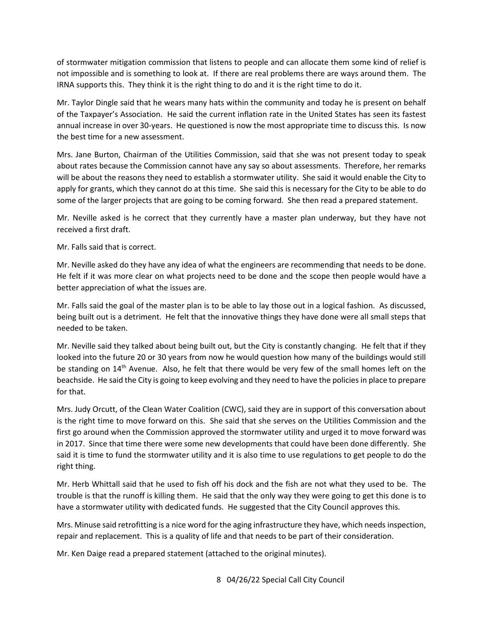of stormwater mitigation commission that listens to people and can allocate them some kind of relief is not impossible and is something to look at. If there are real problems there are ways around them. The IRNA supports this. They think it is the right thing to do and it is the right time to do it.

 annual increase in over 30-years. He questioned is now the most appropriate time to discuss this. Is now Mr. Taylor Dingle said that he wears many hats within the community and today he is present on behalf of the Taxpayer's Association. He said the current inflation rate in the United States has seen its fastest the best time for a new assessment.

 Mrs. Jane Burton, Chairman of the Utilities Commission, said that she was not present today to speak will be about the reasons they need to establish a stormwater utility. She said it would enable the City to about rates because the Commission cannot have any say so about assessments. Therefore, her remarks apply for grants, which they cannot do at this time. She said this is necessary for the City to be able to do

some of the larger projects that are going to be coming forward. She then read a prepared statement.<br>Mr. Neville asked is he correct that they currently have a master plan underway, but they have not received a first draft.

Mr. Falls said that is correct.

Mr. Falls said that is correct.<br>Mr. Neville asked do they have any idea of what the engineers are recommending that needs to be done. He felt if it was more clear on what projects need to be done and the scope then people would have a better appreciation of what the issues are.

needed to be taken. Mr. Falls said the goal of the master plan is to be able to lay those out in a logical fashion. As discussed, being built out is a detriment. He felt that the innovative things they have done were all small steps that

needed to be taken.<br>Mr. Neville said they talked about being built out, but the City is constantly changing. He felt that if they looked into the future 20 or 30 years from now he would question how many of the buildings would still be standing on 14<sup>th</sup> Avenue. Also, he felt that there would be very few of the small homes left on the beachside. He said the City is going to keep evolving and they need to have the policies in place to prepare for that.

 is the right time to move forward on this. She said that she serves on the Utilities Commission and the first go around when the Commission approved the stormwater utility and urged it to move forward was in 2017. Since that time there were some new developments that could have been done differently. She right thing. Mrs. Judy Orcutt, of the Clean Water Coalition (CWC), said they are in support of this conversation about said it is time to fund the stormwater utility and it is also time to use regulations to get people to do the

 trouble is that the runoff is killing them. He said that the only way they were going to get this done is to have a stormwater utility with dedicated funds. He suggested that the City Council approves this. Mr. Herb Whittall said that he used to fish off his dock and the fish are not what they used to be. The

 Mrs. Minuse said retrofitting is a nice word for the aging infrastructure they have, which needs inspection, repair and replacement. This is a quality of life and that needs to be part of their consideration.

Mr. Ken Daige read a prepared statement (attached to the original minutes).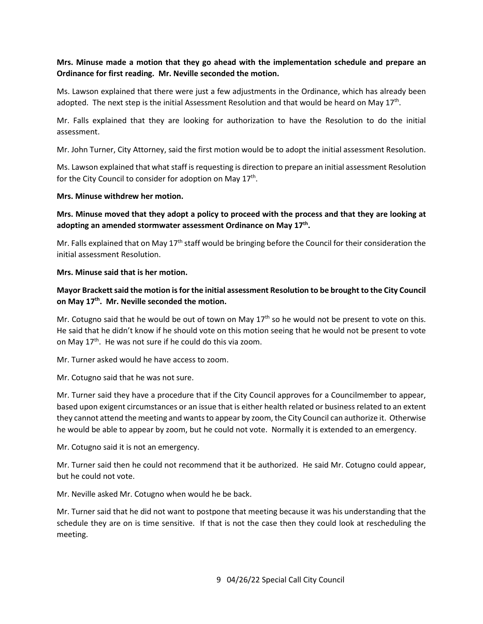# **Mrs. Minuse made a motion that they go ahead with the implementation schedule and prepare an Ordinance for first reading. Mr. Neville seconded the motion.**

adopted. The next step is the initial Assessment Resolution and that would be heard on May  $17^{th}$ . Ms. Lawson explained that there were just a few adjustments in the Ordinance, which has already been

 Mr. Falls explained that they are looking for authorization to have the Resolution to do the initial assessment.

Mr. John Turner, City Attorney, said the first motion would be to adopt the initial assessment Resolution.

for the City Council to consider for adoption on May 17<sup>th</sup>. Ms. Lawson explained that what staff is requesting is direction to prepare an initial assessment Resolution

## **Mrs. Minuse withdrew her motion.**

**Mrs. Minuse moved that they adopt a policy to proceed with the process and that they are looking at adopting an amended stormwater assessment Ordinance on May 17th.** 

Mr. Falls explained that on May  $17<sup>th</sup>$  staff would be bringing before the Council for their consideration the initial assessment Resolution.

#### **Mrs. Minuse said that is her motion.**

# **Mayor Brackett said the motion is for the initial assessment Resolution to be brought to the City Council**  on May 17<sup>th</sup>. Mr. Neville seconded the motion.

Mr. Cotugno said that he would be out of town on May  $17<sup>th</sup>$  so he would not be present to vote on this. He said that he didn't know if he should vote on this motion seeing that he would not be present to vote on May  $17<sup>th</sup>$ . He was not sure if he could do this via zoom.

Mr. Turner asked would he have access to zoom.

Mr. Cotugno said that he was not sure.

 he would be able to appear by zoom, but he could not vote. Normally it is extended to an emergency. Mr. Turner said they have a procedure that if the City Council approves for a Councilmember to appear, based upon exigent circumstances or an issue that is either health related or business related to an extent they cannot attend the meeting and wants to appear by zoom, the City Council can authorize it. Otherwise

Mr. Cotugno said it is not an emergency.

Mr. Cotugno said it is not an emergency.<br>Mr. Turner said then he could not recommend that it be authorized. He said Mr. Cotugno could appear, but he could not vote.

Mr. Neville asked Mr. Cotugno when would he be back.

 Mr. Turner said that he did not want to postpone that meeting because it was his understanding that the schedule they are on is time sensitive. If that is not the case then they could look at rescheduling the meeting.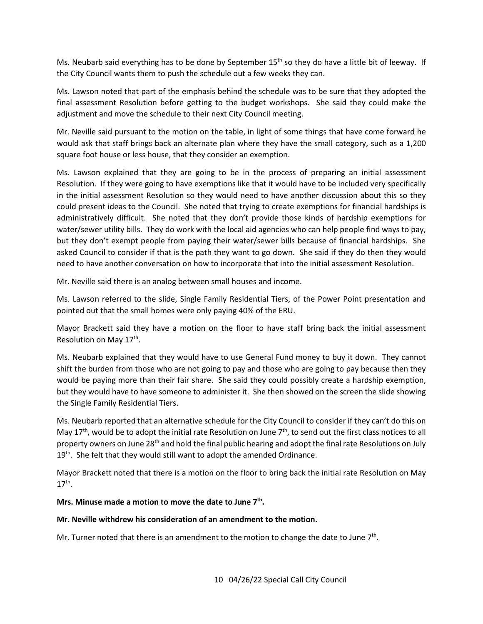the City Council wants them to push the schedule out a few weeks they can. Ms. Neubarb said everything has to be done by September  $15<sup>th</sup>$  so they do have a little bit of leeway. If

 final assessment Resolution before getting to the budget workshops. She said they could make the Ms. Lawson noted that part of the emphasis behind the schedule was to be sure that they adopted the adjustment and move the schedule to their next City Council meeting.

 square foot house or less house, that they consider an exemption. Mr. Neville said pursuant to the motion on the table, in light of some things that have come forward he would ask that staff brings back an alternate plan where they have the small category, such as a 1,200

 could present ideas to the Council. She noted that trying to create exemptions for financial hardships is administratively difficult. She noted that they don't provide those kinds of hardship exemptions for water/sewer utility bills. They do work with the local aid agencies who can help people find ways to pay, asked Council to consider if that is the path they want to go down. She said if they do then they would need to have another conversation on how to incorporate that into the initial assessment Resolution.<br>Mr. Neville said there is an analog between small houses and income. Ms. Lawson explained that they are going to be in the process of preparing an initial assessment Resolution. If they were going to have exemptions like that it would have to be included very specifically in the initial assessment Resolution so they would need to have another discussion about this so they but they don't exempt people from paying their water/sewer bills because of financial hardships. She

Mr. Neville said there is an analog between small houses and income.

 Ms. Lawson referred to the slide, Single Family Residential Tiers, of the Power Point presentation and pointed out that the small homes were only paying 40% of the ERU.

 Mayor Brackett said they have a motion on the floor to have staff bring back the initial assessment Resolution on May 17<sup>th</sup>.

 Ms. Neubarb explained that they would have to use General Fund money to buy it down. They cannot shift the burden from those who are not going to pay and those who are going to pay because then they the Single Family Residential Tiers. would be paying more than their fair share. She said they could possibly create a hardship exemption, but they would have to have someone to administer it. She then showed on the screen the slide showing

 Ms. Neubarb reported that an alternative schedule for the City Council to consider if they can't do this on May 17<sup>th</sup>, would be to adopt the initial rate Resolution on June 7<sup>th</sup>, to send out the first class notices to all property owners on June 28<sup>th</sup> and hold the final public hearing and adopt the final rate Resolutions on July 19<sup>th</sup>. She felt that they would still want to adopt the amended Ordinance.

 Mayor Brackett noted that there is a motion on the floor to bring back the initial rate Resolution on May  $17^{\text{th}}$ .

# Mrs. Minuse made a motion to move the date to June 7<sup>th</sup>.

## **Mr. Neville withdrew his consideration of an amendment to the motion.**

Mr. Turner noted that there is an amendment to the motion to change the date to June  $7<sup>th</sup>$ .